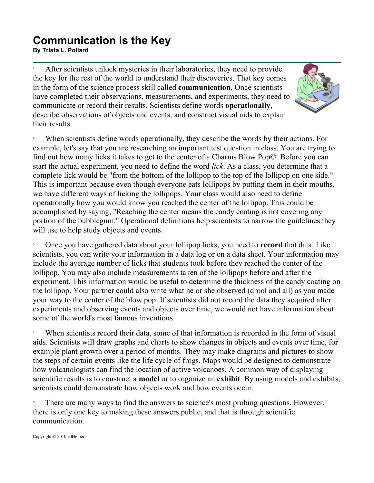## **Communication is the Key By Trista L. Pollard**<br>By Trista L. Pollard

1 After scientists unlock mysteries in their laboratories, they need to provide the key for the rest of the world to understand their discoveries. That key comes in the form of the science process skill called **communication**. Once scientists have completed their observations, measurements, and experiments, they need to communicate or record their results. Scientists define words **operationally**, describe observations of objects and events, and construct visual aids to explain their results.



2 When scientists define words operationally, they describe the words by their actions. For example, let's say that you are researching an important test question in class. You are trying to find out how many licks it takes to get to the center of a Charms Blow Pop©. Before you can start the actual experiment, you need to define the word *lick*. As a class, you determine that a complete lick would be "from the bottom of the lollipop to the top of the lollipop on one side." This is important because even though everyone eats lollipops by putting them in their mouths, we have different ways of licking the lollipops. Your class would also need to define operationally how you would know you reached the center of the lollipop. This could be accomplished by saying, "Reaching the center means the candy coating is not covering any portion of the bubblegum." Operational definitions help scientists to narrow the guidelines they will use to help study objects and events.

3 Once you have gathered data about your lollipop licks, you need to **record** that data. Like scientists, you can write your information in a data log or on a data sheet. Your information may include the average number of licks that students took before they reached the center of the lollipop. You may also include measurements taken of the lollipops before and after the experiment. This information would be useful to determine the thickness of the candy coating on the lollipop. Your partner could also write what he or she observed (drool and all) as you made your way to the center of the blow pop. If scientists did not record the data they acquired after experiments and observing events and objects over time, we would not have information about some of the world's most famous inventions.

4 When scientists record their data, some of that information is recorded in the form of visual aids. Scientists will draw graphs and charts to show changes in objects and events over time, for example plant growth over a period of months. They may make diagrams and pictures to show the steps of certain events like the life cycle of frogs. Maps would be designed to demonstrate how volcanologists can find the location of active volcanoes. A common way of displaying scientific results is to construct a **model** or to organize an **exhibit**. By using models and exhibits, scientists could demonstrate how objects work and how events occur.

5 There are many ways to find the answers to science's most probing questions. However, there is only one key to making these answers public, and that is through scientific communication.